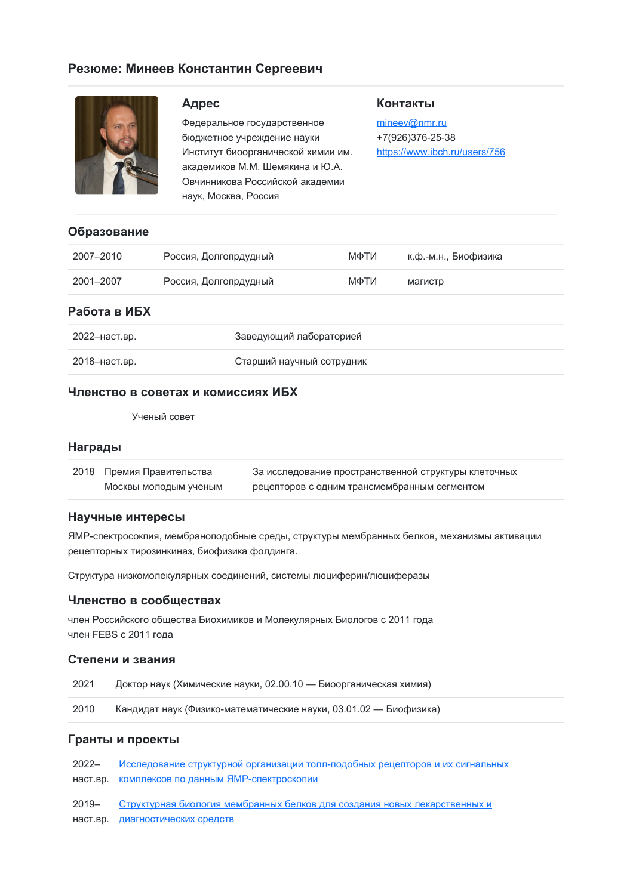# **Резюме: Минеев Константин Сергеевич**



## **Адрес**

Федеральное государственное бюджетное учреждение науки Институт биоорганической химии им. академиков М.М. Шемякина и Ю.А. Овчинникова Российской академии наук, Москва, Россия

### **Контакты**

[mineev@nmr.ru](mailto:mineev@nmr.ru) +7(926)376-25-38 <https://www.ibch.ru/users/756>

### **Образование**

| 2007-2010 | Россия, Долгопрдудный | МФТИ | к.ф.-м.н., Биофизика |
|-----------|-----------------------|------|----------------------|
| 2001-2007 | Россия, Долгопрдудный | МФТИ | магистр              |

## **Работа в ИБХ**

| 2022-наст.вр. | Заведующий лабораторией   |
|---------------|---------------------------|
| 2018–наст.вр. | Старший научный сотрудник |

## **Членство в советах и комиссиях ИБХ**

Ученый совет

#### **Награды**

| 2018 Премия Правительства | За исследование пространственной структуры клеточных |  |
|---------------------------|------------------------------------------------------|--|
| Москвы молодым ученым     | рецепторов с одним трансмембранным сегментом         |  |

### **Научные интересы**

ЯМР-спектросокпия, мембраноподобные среды, структуры мембранных белков, механизмы активации рецепторных тирозинкиназ, биофизика фолдинга.

Структура низкомолекулярных соединений, системы люциферин/люциферазы

### **Членство в сообществах**

член Российского общества Биохимиков и Молекулярных Биологов с 2011 года член FEBS с 2011 года

### **Степени и звания**

| 2021 | Доктор наук (Химические науки, 02.00.10 — Биоорганическая химия)  |
|------|-------------------------------------------------------------------|
| 2010 | Кандидат наук (Физико-математические науки, 03.01.02 — Биофизика) |

# **Гранты и проекты**

| 2022– | Исследование структурной организации толл-подобных рецепторов и их сигнальных   |
|-------|---------------------------------------------------------------------------------|
|       | наст.вр. комплексов по данным ЯМР-спектроскопии                                 |
|       | 2019- Структурная биология мембранных белков для создания новых лекарственных и |
|       |                                                                                 |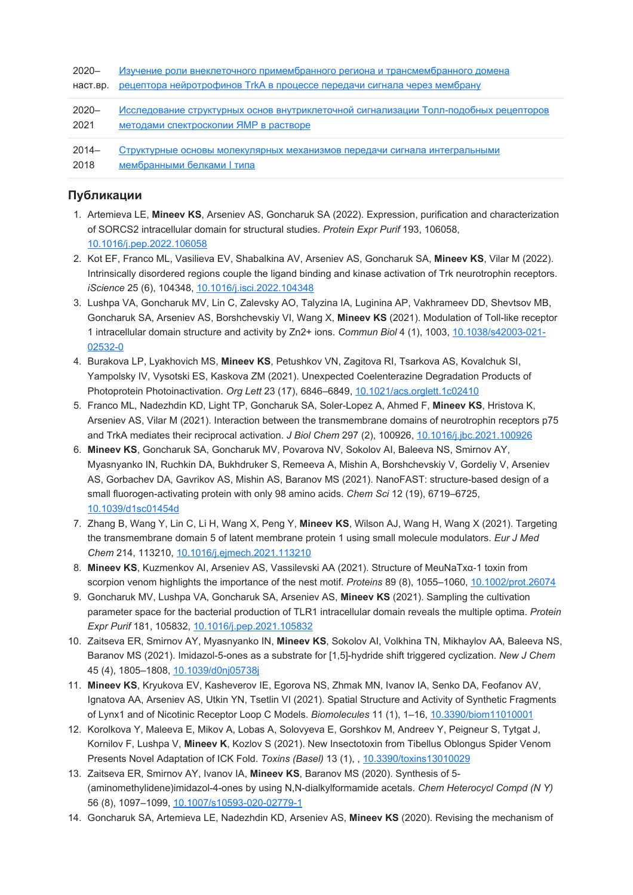| $2020 -$ | Изучение роли внеклеточного примембранного региона и трансмембранного домена         |
|----------|--------------------------------------------------------------------------------------|
| наст.вр. | <u>рецептора нейротрофинов TrkA в процессе передачи сигнала через мембрану</u>       |
| $2020 -$ | Исследование структурных основ внутриклеточной сигнализации Толл-подобных рецепторов |
| 2021     | <b>методами спектроскопии ЯМР в растворе</b>                                         |
| $2014-$  | Структурные основы молекулярных механизмов передачи сигнала интегральными            |
| 2018     | мембранными белками I типа                                                           |

# **Публикации**

- 1. Artemieva LE, **Mineev KS**, Arseniev AS, Goncharuk SA (2022). Expression, purification and characterization of SORCS2 intracellular domain for structural studies. *Protein Expr Purif* 193, 106058, [10.1016/j.pep.2022.106058](https://doi.org/10.1016/j.pep.2022.106058)
- 2. Kot EF, Franco ML, Vasilieva EV, Shabalkina AV, Arseniev AS, Goncharuk SA, **Mineev KS**, Vilar M (2022). Intrinsically disordered regions couple the ligand binding and kinase activation of Trk neurotrophin receptors. *iScience* 25 (6), 104348, [10.1016/j.isci.2022.104348](https://doi.org/10.1016/j.isci.2022.104348)
- 3. Lushpa VA, Goncharuk MV, Lin C, Zalevsky AO, Talyzina IA, Luginina AP, Vakhrameev DD, Shevtsov MB, Goncharuk SA, Arseniev AS, Borshchevskiy VI, Wang X, **Mineev KS** (2021). Modulation of Toll-like receptor 1 intracellular domain structure and activity by Zn2+ ions. *Commun Biol* 4 (1), 1003, [10.1038/s42003-021-](https://doi.org/10.1038/s42003-021-02532-0) 02532-0
- 4. Burakova LP, Lyakhovich MS, **Mineev KS**, Petushkov VN, Zagitova RI, Tsarkova AS, Kovalchuk SI, Yampolsky IV, Vysotski ES, Kaskova ZM (2021). Unexpected Coelenterazine Degradation Products of Photoprotein Photoinactivation. *Org Lett* 23 (17), 6846–6849, [10.1021/acs.orglett.1c02410](https://doi.org/10.1021/acs.orglett.1c02410)
- 5. Franco ML, Nadezhdin KD, Light TP, Goncharuk SA, Soler-Lopez A, Ahmed F, **Mineev KS**, Hristova K, Arseniev AS, Vilar M (2021). Interaction between the transmembrane domains of neurotrophin receptors p75 and TrkA mediates their reciprocal activation. *J Biol Chem* 297 (2), 100926, [10.1016/j.jbc.2021.100926](https://doi.org/10.1016/j.jbc.2021.100926)
- 6. **Mineev KS**, Goncharuk SA, Goncharuk MV, Povarova NV, Sokolov AI, Baleeva NS, Smirnov AY, Myasnyanko IN, Ruchkin DA, Bukhdruker S, Remeeva A, Mishin A, Borshchevskiy V, Gordeliy V, Arseniev AS, Gorbachev DA, Gavrikov AS, Mishin AS, Baranov MS (2021). NanoFAST: structure-based design of a small fluorogen-activating protein with only 98 amino acids. *Chem Sci* 12 (19), 6719–6725, [10.1039/d1sc01454d](https://doi.org/10.1039/d1sc01454d)
- 7. Zhang B, Wang Y, Lin C, Li H, Wang X, Peng Y, **Mineev KS**, Wilson AJ, Wang H, Wang X (2021). Targeting the transmembrane domain 5 of latent membrane protein 1 using small molecule modulators. *Eur J Med Chem* 214, 113210, [10.1016/j.ejmech.2021.113210](https://doi.org/10.1016/j.ejmech.2021.113210)
- 8. **Mineev KS**, Kuzmenkov AI, Arseniev AS, Vassilevski AA (2021). Structure of MeuNaTxα‐1 toxin from scorpion venom highlights the importance of the nest motif. *Proteins* 89 (8), 1055–1060, [10.1002/prot.26074](https://doi.org/10.1002/prot.26074)
- 9. Goncharuk MV, Lushpa VA, Goncharuk SA, Arseniev AS, **Mineev KS** (2021). Sampling the cultivation parameter space for the bacterial production of TLR1 intracellular domain reveals the multiple optima. *Protein Expr Purif* 181, 105832, [10.1016/j.pep.2021.105832](https://doi.org/10.1016/j.pep.2021.105832)
- 10. Zaitseva ER, Smirnov AY, Myasnyanko IN, **Mineev KS**, Sokolov AI, Volkhina TN, Mikhaylov AA, Baleeva NS, Baranov MS (2021). Imidazol-5-ones as a substrate for [1,5]-hydride shift triggered cyclization. *New J Chem* 45 (4), 1805–1808, [10.1039/d0nj05738j](https://doi.org/10.1039/d0nj05738j)
- 11. **Mineev KS**, Kryukova EV, Kasheverov IE, Egorova NS, Zhmak MN, Ivanov IA, Senko DA, Feofanov AV, Ignatova AA, Arseniev AS, Utkin YN, Tsetlin VI (2021). Spatial Structure and Activity of Synthetic Fragments of Lynx1 and of Nicotinic Receptor Loop C Models. *Biomolecules* 11 (1), 1–16, [10.3390/biom11010001](https://doi.org/10.3390/biom11010001)
- 12. Korolkova Y, Maleeva E, Mikov A, Lobas A, Solovyeva E, Gorshkov M, Andreev Y, Peigneur S, Tytgat J, Kornilov F, Lushpa V, **Mineev K**, Kozlov S (2021). New Insectotoxin from Tibellus Oblongus Spider Venom Presents Novel Adaptation of ICK Fold. *Toxins (Basel)* 13 (1), , [10.3390/toxins13010029](https://doi.org/10.3390/toxins13010029)
- 13. Zaitseva ER, Smirnov AY, Ivanov IA, **Mineev KS**, Baranov MS (2020). Synthesis of 5- (aminomethylidene)imidazol-4-ones by using N,N-dialkylformamide acetals. *Chem Heterocycl Compd (N Y)* 56 (8), 1097–1099, [10.1007/s10593-020-02779-1](https://doi.org/10.1007/s10593-020-02779-1)
- 14. Goncharuk SA, Artemieva LE, Nadezhdin KD, Arseniev AS, **Mineev KS** (2020). Revising the mechanism of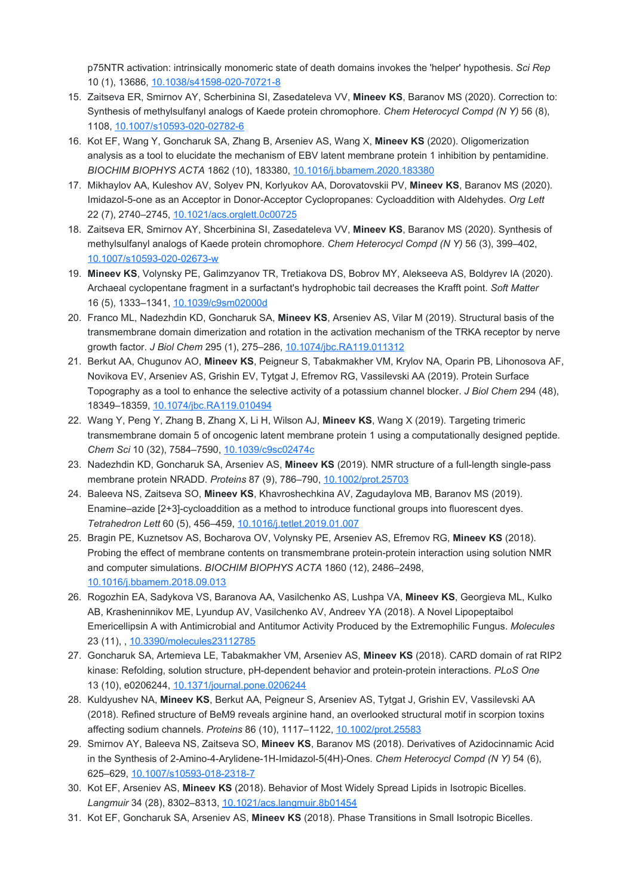p75NTR activation: intrinsically monomeric state of death domains invokes the 'helper' hypothesis. *Sci Rep* 10 (1), 13686, [10.1038/s41598-020-70721-8](https://doi.org/10.1038/s41598-020-70721-8)

- 15. Zaitseva ER, Smirnov AY, Scherbinina SI, Zasedateleva VV, **Mineev KS**, Baranov MS (2020). Correction to: Synthesis of methylsulfanyl analogs of Kaede protein chromophore. *Chem Heterocycl Compd (N Y)* 56 (8), 1108, [10.1007/s10593-020-02782-6](https://doi.org/10.1007/s10593-020-02782-6)
- 16. Kot EF, Wang Y, Goncharuk SA, Zhang B, Arseniev AS, Wang X, **Mineev KS** (2020). Oligomerization analysis as a tool to elucidate the mechanism of EBV latent membrane protein 1 inhibition by pentamidine. *BIOCHIM BIOPHYS ACTA* 1862 (10), 183380, [10.1016/j.bbamem.2020.183380](https://doi.org/10.1016/j.bbamem.2020.183380)
- 17. Mikhaylov AA, Kuleshov AV, Solyev PN, Korlyukov AA, Dorovatovskii PV, **Mineev KS**, Baranov MS (2020). Imidazol-5-one as an Acceptor in Donor-Acceptor Cyclopropanes: Cycloaddition with Aldehydes. *Org Lett* 22 (7), 2740–2745, [10.1021/acs.orglett.0c00725](https://doi.org/10.1021/acs.orglett.0c00725)
- 18. Zaitseva ER, Smirnov AY, Shcerbinina SI, Zasedateleva VV, **Mineev KS**, Baranov MS (2020). Synthesis of methylsulfanyl analogs of Kaede protein chromophore. *Chem Heterocycl Compd (N Y)* 56 (3), 399–402, [10.1007/s10593-020-02673-w](https://doi.org/10.1007/s10593-020-02673-w)
- 19. **Mineev KS**, Volynsky PE, Galimzyanov TR, Tretiakova DS, Bobrov MY, Alekseeva AS, Boldyrev IA (2020). Archaeal cyclopentane fragment in a surfactant's hydrophobic tail decreases the Krafft point. *Soft Matter* 16 (5), 1333–1341, [10.1039/c9sm02000d](https://doi.org/10.1039/c9sm02000d)
- 20. Franco ML, Nadezhdin KD, Goncharuk SA, **Mineev KS**, Arseniev AS, Vilar M (2019). Structural basis of the transmembrane domain dimerization and rotation in the activation mechanism of the TRKA receptor by nerve growth factor. *J Biol Chem* 295 (1), 275–286, [10.1074/jbc.RA119.011312](https://doi.org/10.1074/jbc.RA119.011312)
- 21. Berkut AA, Chugunov AO, **Mineev KS**, Peigneur S, Tabakmakher VM, Krylov NA, Oparin PB, Lihonosova AF, Novikova EV, Arseniev AS, Grishin EV, Tytgat J, Efremov RG, Vassilevski AA (2019). Protein Surface Topography as a tool to enhance the selective activity of a potassium channel blocker. *J Biol Chem* 294 (48), 18349–18359, [10.1074/jbc.RA119.010494](https://doi.org/10.1074/jbc.RA119.010494)
- 22. Wang Y, Peng Y, Zhang B, Zhang X, Li H, Wilson AJ, **Mineev KS**, Wang X (2019). Targeting trimeric transmembrane domain 5 of oncogenic latent membrane protein 1 using a computationally designed peptide. *Chem Sci* 10 (32), 7584–7590, [10.1039/c9sc02474c](https://doi.org/10.1039/c9sc02474c)
- 23. Nadezhdin KD, Goncharuk SA, Arseniev AS, **Mineev KS** (2019). NMR structure of a full-length single-pass membrane protein NRADD. *Proteins* 87 (9), 786–790, [10.1002/prot.25703](https://doi.org/10.1002/prot.25703)
- 24. Baleeva NS, Zaitseva SO, **Mineev KS**, Khavroshechkina AV, Zagudaylova MB, Baranov MS (2019). Enamine–azide [2+3]-cycloaddition as a method to introduce functional groups into fluorescent dyes. *Tetrahedron Lett* 60 (5), 456–459, [10.1016/j.tetlet.2019.01.007](https://doi.org/10.1016/j.tetlet.2019.01.007)
- 25. Bragin PE, Kuznetsov AS, Bocharova OV, Volynsky PE, Arseniev AS, Efremov RG, **Mineev KS** (2018). Probing the effect of membrane contents on transmembrane protein-protein interaction using solution NMR and computer simulations. *BIOCHIM BIOPHYS ACTA* 1860 (12), 2486–2498, [10.1016/j.bbamem.2018.09.013](https://doi.org/10.1016/j.bbamem.2018.09.013)
- 26. Rogozhin EA, Sadykova VS, Baranova AA, Vasilchenko AS, Lushpa VA, **Mineev KS**, Georgieva ML, Kulko AB, Krasheninnikov ME, Lyundup AV, Vasilchenko AV, Andreev YA (2018). A Novel Lipopeptaibol Emericellipsin A with Antimicrobial and Antitumor Activity Produced by the Extremophilic Fungus. *Molecules* 23 (11), , [10.3390/molecules23112785](https://doi.org/10.3390/molecules23112785)
- 27. Goncharuk SA, Artemieva LE, Tabakmakher VM, Arseniev AS, **Mineev KS** (2018). CARD domain of rat RIP2 kinase: Refolding, solution structure, pH-dependent behavior and protein-protein interactions. *PLoS One* 13 (10), e0206244, [10.1371/journal.pone.0206244](https://doi.org/10.1371/journal.pone.0206244)
- 28. Kuldyushev NA, **Mineev KS**, Berkut AA, Peigneur S, Arseniev AS, Tytgat J, Grishin EV, Vassilevski AA (2018). Refined structure of BeM9 reveals arginine hand, an overlooked structural motif in scorpion toxins affecting sodium channels. *Proteins* 86 (10), 1117–1122, [10.1002/prot.25583](https://doi.org/10.1002/prot.25583)
- 29. Smirnov AY, Baleeva NS, Zaitseva SO, **Mineev KS**, Baranov MS (2018). Derivatives of Azidocinnamic Acid in the Synthesis of 2-Amino-4-Arylidene-1H-Imidazol-5(4H)-Ones. *Chem Heterocycl Compd (N Y)* 54 (6), 625–629, [10.1007/s10593-018-2318-7](https://doi.org/10.1007/s10593-018-2318-7)
- 30. Kot EF, Arseniev AS, **Mineev KS** (2018). Behavior of Most Widely Spread Lipids in Isotropic Bicelles. *Langmuir* 34 (28), 8302–8313, [10.1021/acs.langmuir.8b01454](https://doi.org/10.1021/acs.langmuir.8b01454)
- 31. Kot EF, Goncharuk SA, Arseniev AS, **Mineev KS** (2018). Phase Transitions in Small Isotropic Bicelles.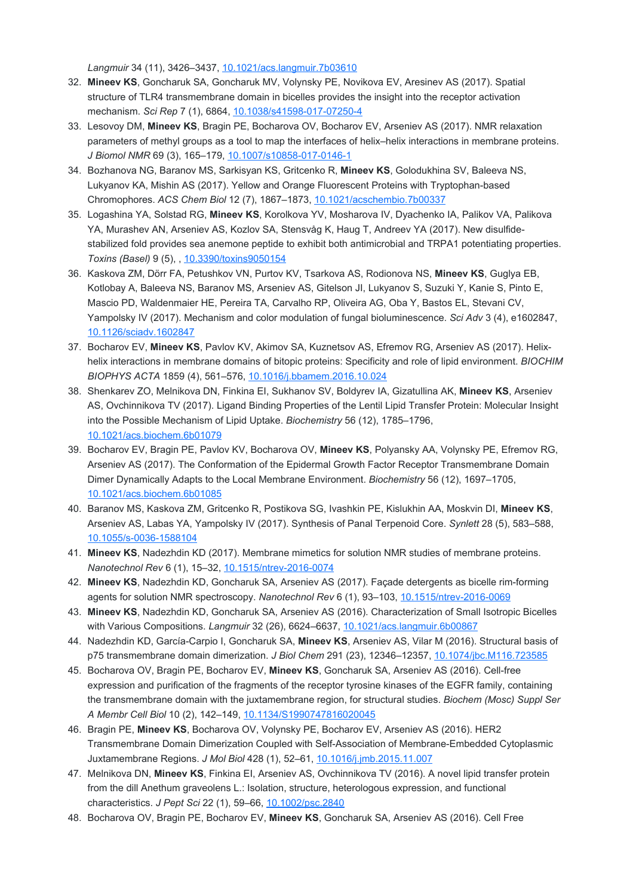*Langmuir* 34 (11), 3426–3437, [10.1021/acs.langmuir.7b03610](https://doi.org/10.1021/acs.langmuir.7b03610)

- 32. **Mineev KS**, Goncharuk SA, Goncharuk MV, Volynsky PE, Novikova EV, Aresinev AS (2017). Spatial structure of TLR4 transmembrane domain in bicelles provides the insight into the receptor activation mechanism. *Sci Rep* 7 (1), 6864, [10.1038/s41598-017-07250-4](https://doi.org/10.1038/s41598-017-07250-4)
- 33. Lesovoy DM, **Mineev KS**, Bragin PE, Bocharova OV, Bocharov EV, Arseniev AS (2017). NMR relaxation parameters of methyl groups as a tool to map the interfaces of helix–helix interactions in membrane proteins. *J Biomol NMR* 69 (3), 165–179, [10.1007/s10858-017-0146-1](https://doi.org/10.1007/s10858-017-0146-1)
- 34. Bozhanova NG, Baranov MS, Sarkisyan KS, Gritcenko R, **Mineev KS**, Golodukhina SV, Baleeva NS, Lukyanov KA, Mishin AS (2017). Yellow and Orange Fluorescent Proteins with Tryptophan-based Chromophores. *ACS Chem Biol* 12 (7), 1867–1873, [10.1021/acschembio.7b00337](https://doi.org/10.1021/acschembio.7b00337)
- 35. Logashina YA, Solstad RG, **Mineev KS**, Korolkova YV, Mosharova IV, Dyachenko IA, Palikov VA, Palikova YA, Murashev AN, Arseniev AS, Kozlov SA, Stensvåg K, Haug T, Andreev YA (2017). New disulfidestabilized fold provides sea anemone peptide to exhibit both antimicrobial and TRPA1 potentiating properties. *Toxins (Basel)* 9 (5), , [10.3390/toxins9050154](https://doi.org/10.3390/toxins9050154)
- 36. Kaskova ZM, Dörr FA, Petushkov VN, Purtov KV, Tsarkova AS, Rodionova NS, **Mineev KS**, Guglya EB, Kotlobay A, Baleeva NS, Baranov MS, Arseniev AS, Gitelson JI, Lukyanov S, Suzuki Y, Kanie S, Pinto E, Mascio PD, Waldenmaier HE, Pereira TA, Carvalho RP, Oliveira AG, Oba Y, Bastos EL, Stevani CV, Yampolsky IV (2017). Mechanism and color modulation of fungal bioluminescence. *Sci Adv* 3 (4), e1602847, [10.1126/sciadv.1602847](https://doi.org/10.1126/sciadv.1602847)
- 37. Bocharov EV, **Mineev KS**, Pavlov KV, Akimov SA, Kuznetsov AS, Efremov RG, Arseniev AS (2017). Helixhelix interactions in membrane domains of bitopic proteins: Specificity and role of lipid environment. *BIOCHIM BIOPHYS ACTA* 1859 (4), 561–576, [10.1016/j.bbamem.2016.10.024](https://doi.org/10.1016/j.bbamem.2016.10.024)
- 38. Shenkarev ZO, Melnikova DN, Finkina EI, Sukhanov SV, Boldyrev IA, Gizatullina AK, **Mineev KS**, Arseniev AS, Ovchinnikova TV (2017). Ligand Binding Properties of the Lentil Lipid Transfer Protein: Molecular Insight into the Possible Mechanism of Lipid Uptake. *Biochemistry* 56 (12), 1785–1796, [10.1021/acs.biochem.6b01079](https://doi.org/10.1021/acs.biochem.6b01079)
- 39. Bocharov EV, Bragin PE, Pavlov KV, Bocharova OV, **Mineev KS**, Polyansky AA, Volynsky PE, Efremov RG, Arseniev AS (2017). The Conformation of the Epidermal Growth Factor Receptor Transmembrane Domain Dimer Dynamically Adapts to the Local Membrane Environment. *Biochemistry* 56 (12), 1697–1705, [10.1021/acs.biochem.6b01085](https://doi.org/10.1021/acs.biochem.6b01085)
- 40. Baranov MS, Kaskova ZM, Gritсenko R, Postikova SG, Ivashkin PE, Kislukhin AA, Moskvin DI, **Mineev KS**, Arseniev AS, Labas YA, Yampolsky IV (2017). Synthesis of Panal Terpenoid Core. *Synlett* 28 (5), 583–588, [10.1055/s-0036-1588104](https://doi.org/10.1055/s-0036-1588104)
- 41. **Mineev KS**, Nadezhdin KD (2017). Membrane mimetics for solution NMR studies of membrane proteins. *Nanotechnol Rev* 6 (1), 15–32, [10.1515/ntrev-2016-0074](https://doi.org/10.1515/ntrev-2016-0074)
- 42. **Mineev KS**, Nadezhdin KD, Goncharuk SA, Arseniev AS (2017). Façade detergents as bicelle rim-forming agents for solution NMR spectroscopy. *Nanotechnol Rev* 6 (1), 93–103, [10.1515/ntrev-2016-0069](https://doi.org/10.1515/ntrev-2016-0069)
- 43. **Mineev KS**, Nadezhdin KD, Goncharuk SA, Arseniev AS (2016). Characterization of Small Isotropic Bicelles with Various Compositions. *Langmuir* 32 (26), 6624–6637, [10.1021/acs.langmuir.6b00867](https://doi.org/10.1021/acs.langmuir.6b00867)
- 44. Nadezhdin KD, García-Carpio I, Goncharuk SA, **Mineev KS**, Arseniev AS, Vilar M (2016). Structural basis of p75 transmembrane domain dimerization. *J Biol Chem* 291 (23), 12346–12357, [10.1074/jbc.M116.723585](https://doi.org/10.1074/jbc.M116.723585)
- 45. Bocharova OV, Bragin PE, Bocharov EV, **Mineev KS**, Goncharuk SA, Arseniev AS (2016). Cell-free expression and purification of the fragments of the receptor tyrosine kinases of the EGFR family, containing the transmembrane domain with the juxtamembrane region, for structural studies. *Biochem (Mosc) Suppl Ser A Membr Cell Biol* 10 (2), 142–149, [10.1134/S1990747816020045](https://doi.org/10.1134/S1990747816020045)
- 46. Bragin PE, **Mineev KS**, Bocharova OV, Volynsky PE, Bocharov EV, Arseniev AS (2016). HER2 Transmembrane Domain Dimerization Coupled with Self-Association of Membrane-Embedded Cytoplasmic Juxtamembrane Regions. *J Mol Biol* 428 (1), 52–61, [10.1016/j.jmb.2015.11.007](https://doi.org/10.1016/j.jmb.2015.11.007)
- 47. Melnikova DN, **Mineev KS**, Finkina EI, Arseniev AS, Ovchinnikova TV (2016). A novel lipid transfer protein from the dill Anethum graveolens L.: Isolation, structure, heterologous expression, and functional characteristics. *J Pept Sci* 22 (1), 59–66, [10.1002/psc.2840](https://doi.org/10.1002/psc.2840)
- 48. Bocharova OV, Bragin PE, Bocharov EV, **Mineev KS**, Goncharuk SA, Arseniev AS (2016). Cell Free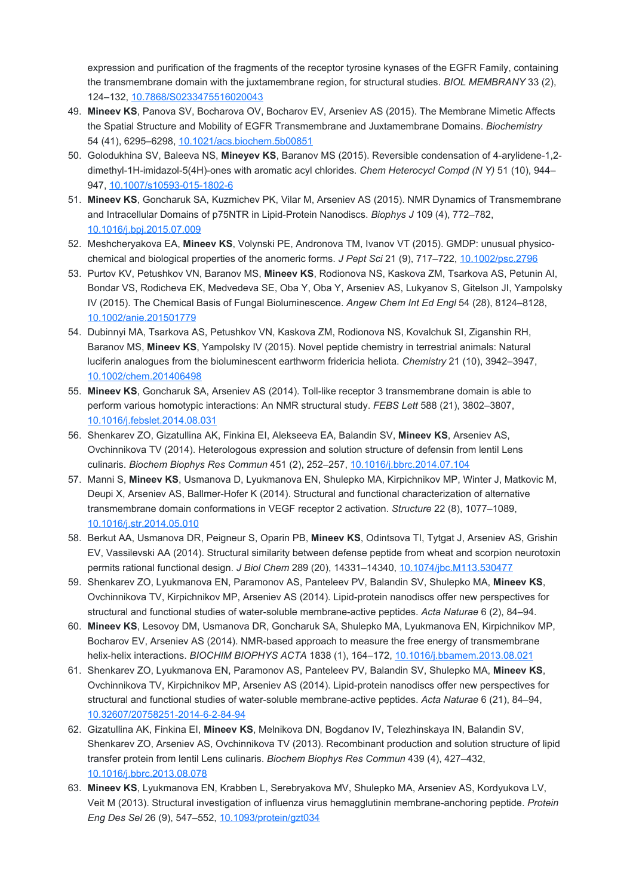expression and purification of the fragments of the receptor tyrosine kynases of the EGFR Family, containing the transmembrane domain with the juxtamembrane region, for structural studies. *BIOL MEMBRANY* 33 (2), 124–132, [10.7868/S0233475516020043](https://doi.org/10.7868/S0233475516020043)

- 49. **Mineev KS**, Panova SV, Bocharova OV, Bocharov EV, Arseniev AS (2015). The Membrane Mimetic Affects the Spatial Structure and Mobility of EGFR Transmembrane and Juxtamembrane Domains. *Biochemistry* 54 (41), 6295–6298, [10.1021/acs.biochem.5b00851](https://doi.org/10.1021/acs.biochem.5b00851)
- 50. Golodukhina SV, Baleeva NS, **Mineyev KS**, Baranov MS (2015). Reversible condensation of 4-arylidene-1,2 dimethyl-1H-imidazol-5(4H)-ones with aromatic acyl chlorides. *Chem Heterocycl Compd (N Y)* 51 (10), 944– 947, [10.1007/s10593-015-1802-6](https://doi.org/10.1007/s10593-015-1802-6)
- 51. **Mineev KS**, Goncharuk SA, Kuzmichev PK, Vilar M, Arseniev AS (2015). NMR Dynamics of Transmembrane and Intracellular Domains of p75NTR in Lipid-Protein Nanodiscs. *Biophys J* 109 (4), 772–782, [10.1016/j.bpj.2015.07.009](https://doi.org/10.1016/j.bpj.2015.07.009)
- 52. Meshcheryakova EA, **Mineev KS**, Volynski PE, Andronova TM, Ivanov VT (2015). GMDP: unusual physicochemical and biological properties of the anomeriс forms. *J Pept Sci* 21 (9), 717–722, [10.1002/psc.2796](https://doi.org/10.1002/psc.2796)
- 53. Purtov KV, Petushkov VN, Baranov MS, **Mineev KS**, Rodionova NS, Kaskova ZM, Tsarkova AS, Petunin AI, Bondar VS, Rodicheva EK, Medvedeva SE, Oba Y, Oba Y, Arseniev AS, Lukyanov S, Gitelson JI, Yampolsky IV (2015). The Chemical Basis of Fungal Bioluminescence. *Angew Chem Int Ed Engl* 54 (28), 8124–8128, [10.1002/anie.201501779](https://doi.org/10.1002/anie.201501779)
- 54. Dubinnyi MA, Tsarkova AS, Petushkov VN, Kaskova ZM, Rodionova NS, Kovalchuk SI, Ziganshin RH, Baranov MS, **Mineev KS**, Yampolsky IV (2015). Novel peptide chemistry in terrestrial animals: Natural luciferin analogues from the bioluminescent earthworm fridericia heliota. *Chemistry* 21 (10), 3942–3947, [10.1002/chem.201406498](https://doi.org/10.1002/chem.201406498)
- 55. **Mineev KS**, Goncharuk SA, Arseniev AS (2014). Toll-like receptor 3 transmembrane domain is able to perform various homotypic interactions: An NMR structural study. *FEBS Lett* 588 (21), 3802–3807, [10.1016/j.febslet.2014.08.031](https://doi.org/10.1016/j.febslet.2014.08.031)
- 56. Shenkarev ZO, Gizatullina AK, Finkina EI, Alekseeva EA, Balandin SV, **Mineev KS**, Arseniev AS, Ovchinnikova TV (2014). Heterologous expression and solution structure of defensin from lentil Lens culinaris. *Biochem Biophys Res Commun* 451 (2), 252–257, [10.1016/j.bbrc.2014.07.104](https://doi.org/10.1016/j.bbrc.2014.07.104)
- 57. Manni S, **Mineev KS**, Usmanova D, Lyukmanova EN, Shulepko MA, Kirpichnikov MP, Winter J, Matkovic M, Deupi X, Arseniev AS, Ballmer-Hofer K (2014). Structural and functional characterization of alternative transmembrane domain conformations in VEGF receptor 2 activation. *Structure* 22 (8), 1077–1089, [10.1016/j.str.2014.05.010](https://doi.org/10.1016/j.str.2014.05.010)
- 58. Berkut AA, Usmanova DR, Peigneur S, Oparin PB, **Mineev KS**, Odintsova TI, Tytgat J, Arseniev AS, Grishin EV, Vassilevski AA (2014). Structural similarity between defense peptide from wheat and scorpion neurotoxin permits rational functional design. *J Biol Chem* 289 (20), 14331–14340, [10.1074/jbc.M113.530477](https://doi.org/10.1074/jbc.M113.530477)
- 59. Shenkarev ZO, Lyukmanova EN, Paramonov AS, Panteleev PV, Balandin SV, Shulepko MA, **Mineev KS**, Ovchinnikova TV, Kirpichnikov MP, Arseniev AS (2014). Lipid-protein nanodiscs offer new perspectives for structural and functional studies of water-soluble membrane-active peptides. *Acta Naturae* 6 (2), 84–94.
- 60. **Mineev KS**, Lesovoy DM, Usmanova DR, Goncharuk SA, Shulepko MA, Lyukmanova EN, Kirpichnikov MP, Bocharov EV, Arseniev AS (2014). NMR-based approach to measure the free energy of transmembrane helix-helix interactions. *BIOCHIM BIOPHYS ACTA* 1838 (1), 164–172, [10.1016/j.bbamem.2013.08.021](https://doi.org/10.1016/j.bbamem.2013.08.021)
- 61. Shenkarev ZO, Lyukmanova EN, Paramonov AS, Panteleev PV, Balandin SV, Shulepko MA, **Mineev KS**, Ovchinnikova TV, Kirpichnikov MP, Arseniev AS (2014). Lipid-protein nanodiscs offer new perspectives for structural and functional studies of water-soluble membrane-active peptides. *Acta Naturae* 6 (21), 84–94, [10.32607/20758251-2014-6-2-84-94](https://doi.org/10.32607/20758251-2014-6-2-84-94)
- 62. Gizatullina AK, Finkina EI, **Mineev KS**, Melnikova DN, Bogdanov IV, Telezhinskaya IN, Balandin SV, Shenkarev ZO, Arseniev AS, Ovchinnikova TV (2013). Recombinant production and solution structure of lipid transfer protein from lentil Lens culinaris. *Biochem Biophys Res Commun* 439 (4), 427–432, [10.1016/j.bbrc.2013.08.078](https://doi.org/10.1016/j.bbrc.2013.08.078)
- 63. **Mineev KS**, Lyukmanova EN, Krabben L, Serebryakova MV, Shulepko MA, Arseniev AS, Kordyukova LV, Veit M (2013). Structural investigation of influenza virus hemagglutinin membrane-anchoring peptide. *Protein Eng Des Sel* 26 (9), 547–552, [10.1093/protein/gzt034](https://doi.org/10.1093/protein/gzt034)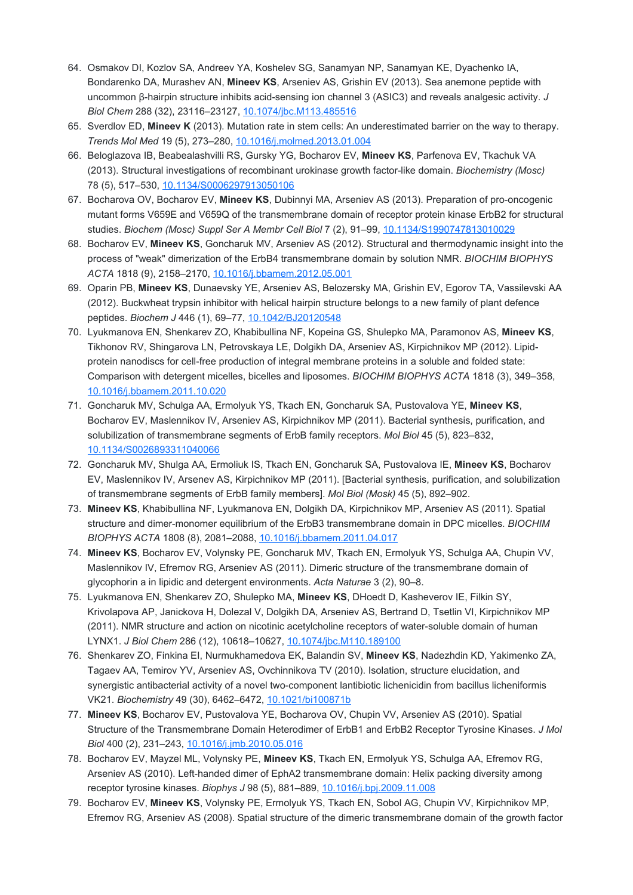- 64. Osmakov DI, Kozlov SA, Andreev YA, Koshelev SG, Sanamyan NP, Sanamyan KE, Dyachenko IA, Bondarenko DA, Murashev AN, **Mineev KS**, Arseniev AS, Grishin EV (2013). Sea anemone peptide with uncommon β-hairpin structure inhibits acid-sensing ion channel 3 (ASIC3) and reveals analgesic activity. *J Biol Chem* 288 (32), 23116–23127, [10.1074/jbc.M113.485516](https://doi.org/10.1074/jbc.M113.485516)
- 65. Sverdlov ED, **Mineev K** (2013). Mutation rate in stem cells: An underestimated barrier on the way to therapy. *Trends Mol Med* 19 (5), 273–280, [10.1016/j.molmed.2013.01.004](https://doi.org/10.1016/j.molmed.2013.01.004)
- 66. Beloglazova IB, Beabealashvilli RS, Gursky YG, Bocharov EV, **Mineev KS**, Parfenova EV, Tkachuk VA (2013). Structural investigations of recombinant urokinase growth factor-like domain. *Biochemistry (Mosc)* 78 (5), 517–530, [10.1134/S0006297913050106](https://doi.org/10.1134/S0006297913050106)
- 67. Bocharova OV, Bocharov EV, **Mineev KS**, Dubinnyi MA, Arseniev AS (2013). Preparation of pro-oncogenic mutant forms V659E and V659Q of the transmembrane domain of receptor protein kinase ErbB2 for structural studies. *Biochem (Mosc) Suppl Ser A Membr Cell Biol* 7 (2), 91–99, [10.1134/S1990747813010029](https://doi.org/10.1134/S1990747813010029)
- 68. Bocharov EV, **Mineev KS**, Goncharuk MV, Arseniev AS (2012). Structural and thermodynamic insight into the process of "weak" dimerization of the ErbB4 transmembrane domain by solution NMR. *BIOCHIM BIOPHYS ACTA* 1818 (9), 2158–2170, [10.1016/j.bbamem.2012.05.001](https://doi.org/10.1016/j.bbamem.2012.05.001)
- 69. Oparin PB, **Mineev KS**, Dunaevsky YE, Arseniev AS, Belozersky MA, Grishin EV, Egorov TA, Vassilevski AA (2012). Buckwheat trypsin inhibitor with helical hairpin structure belongs to a new family of plant defence peptides. *Biochem J* 446 (1), 69–77, [10.1042/BJ20120548](https://doi.org/10.1042/BJ20120548)
- 70. Lyukmanova EN, Shenkarev ZO, Khabibullina NF, Kopeina GS, Shulepko MA, Paramonov AS, **Mineev KS**, Tikhonov RV, Shingarova LN, Petrovskaya LE, Dolgikh DA, Arseniev AS, Kirpichnikov MP (2012). Lipidprotein nanodiscs for cell-free production of integral membrane proteins in a soluble and folded state: Comparison with detergent micelles, bicelles and liposomes. *BIOCHIM BIOPHYS ACTA* 1818 (3), 349–358, [10.1016/j.bbamem.2011.10.020](https://doi.org/10.1016/j.bbamem.2011.10.020)
- 71. Goncharuk MV, Schulga AA, Ermolyuk YS, Tkach EN, Goncharuk SA, Pustovalova YE, **Mineev KS**, Bocharov EV, Maslennikov IV, Arseniev AS, Kirpichnikov MP (2011). Bacterial synthesis, purification, and solubilization of transmembrane segments of ErbB family receptors. *Mol Biol* 45 (5), 823–832, [10.1134/S0026893311040066](https://doi.org/10.1134/S0026893311040066)
- 72. Goncharuk MV, Shulga AA, Ermoliuk IS, Tkach EN, Goncharuk SA, Pustovalova IE, **Mineev KS**, Bocharov EV, Maslennikov IV, Arsenev AS, Kirpichnikov MP (2011). [Bacterial synthesis, purification, and solubilization of transmembrane segments of ErbB family members]. *Mol Biol (Mosk)* 45 (5), 892–902.
- 73. **Mineev KS**, Khabibullina NF, Lyukmanova EN, Dolgikh DA, Kirpichnikov MP, Arseniev AS (2011). Spatial structure and dimer-monomer equilibrium of the ErbB3 transmembrane domain in DPC micelles. *BIOCHIM BIOPHYS ACTA* 1808 (8), 2081–2088, [10.1016/j.bbamem.2011.04.017](https://doi.org/10.1016/j.bbamem.2011.04.017)
- 74. **Mineev KS**, Bocharov EV, Volynsky PE, Goncharuk MV, Tkach EN, Ermolyuk YS, Schulga AA, Chupin VV, Maslennikov IV, Efremov RG, Arseniev AS (2011). Dimeric structure of the transmembrane domain of glycophorin a in lipidic and detergent environments. *Acta Naturae* 3 (2), 90–8.
- 75. Lyukmanova EN, Shenkarev ZO, Shulepko MA, **Mineev KS**, DHoedt D, Kasheverov IE, Filkin SY, Krivolapova AP, Janickova H, Dolezal V, Dolgikh DA, Arseniev AS, Bertrand D, Tsetlin VI, Kirpichnikov MP (2011). NMR structure and action on nicotinic acetylcholine receptors of water-soluble domain of human LYNX1. *J Biol Chem* 286 (12), 10618–10627, [10.1074/jbc.M110.189100](https://doi.org/10.1074/jbc.M110.189100)
- 76. Shenkarev ZO, Finkina EI, Nurmukhamedova EK, Balandin SV, **Mineev KS**, Nadezhdin KD, Yakimenko ZA, Tagaev AA, Temirov YV, Arseniev AS, Ovchinnikova TV (2010). Isolation, structure elucidation, and synergistic antibacterial activity of a novel two-component lantibiotic lichenicidin from bacillus licheniformis VK21. *Biochemistry* 49 (30), 6462–6472, [10.1021/bi100871b](https://doi.org/10.1021/bi100871b)
- 77. **Mineev KS**, Bocharov EV, Pustovalova YE, Bocharova OV, Chupin VV, Arseniev AS (2010). Spatial Structure of the Transmembrane Domain Heterodimer of ErbB1 and ErbB2 Receptor Tyrosine Kinases. *J Mol Biol* 400 (2), 231–243, [10.1016/j.jmb.2010.05.016](https://doi.org/10.1016/j.jmb.2010.05.016)
- 78. Bocharov EV, Mayzel ML, Volynsky PE, **Mineev KS**, Tkach EN, Ermolyuk YS, Schulga AA, Efremov RG, Arseniev AS (2010). Left-handed dimer of EphA2 transmembrane domain: Helix packing diversity among receptor tyrosine kinases. *Biophys J* 98 (5), 881–889, [10.1016/j.bpj.2009.11.008](https://doi.org/10.1016/j.bpj.2009.11.008)
- 79. Bocharov EV, **Mineev KS**, Volynsky PE, Ermolyuk YS, Tkach EN, Sobol AG, Chupin VV, Kirpichnikov MP, Efremov RG, Arseniev AS (2008). Spatial structure of the dimeric transmembrane domain of the growth factor